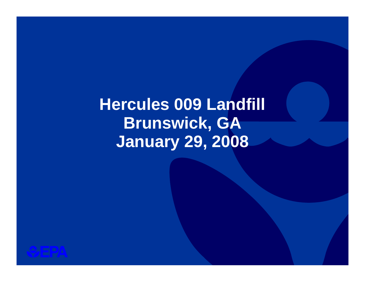# **Hercules 009 Landfill Brunswick, GA January 29, 2008**

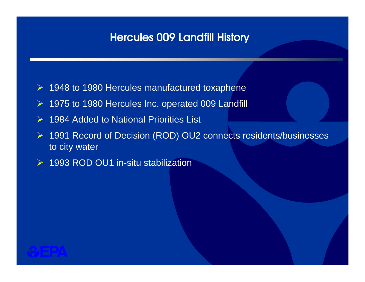# Hercules 009 Landfill History

- ¾ 1948 to 1980 Hercules manufactured toxaphene
- ¾ 1975 to 1980 Hercules Inc. operated 009 Landfill
- $\triangleright$  1984 Added to National Priorities List
- ¾ 1991 Record of Decision (ROD) OU2 connects residents/businesses to city water
- $\triangleright$  1993 ROD OU1 in-situ stabilization

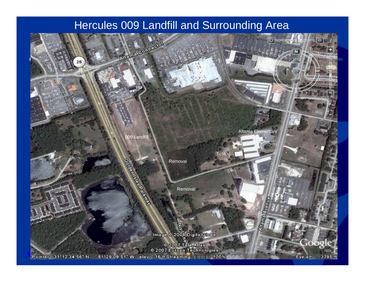### Hercules 009 Landfill and Surrounding Area

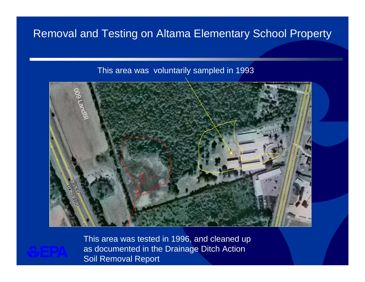# Removal and Testing on Altama Elementary School Property

### This area was voluntarily sampled in 1993





This area was tested in 1996, and cleaned up as documented in the Drainage Ditch Action Soil Removal Report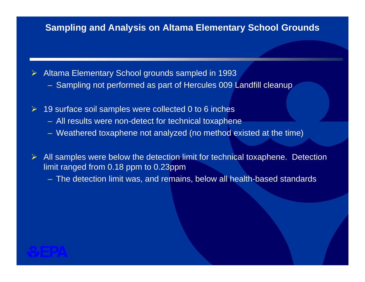### **Sampling and Analysis on Altama Elementary School Grounds**

¾Altama Elementary School grounds sampled in 1993

- Sampling not performed as part of Hercules 009 Landfill cleanup
- $\triangleright$  19 surface soil samples were collected 0 to 6 inches
	- All results were non-detect for technical toxaphene
	- Weathered toxaphene not analyzed (no method existed at the time)
- ¾ All samples were below the detection limit for technical toxaphene. Detection limit ranged from 0.18 ppm to 0.23ppm
	- The detection limit was, and remains, below all health-based standards

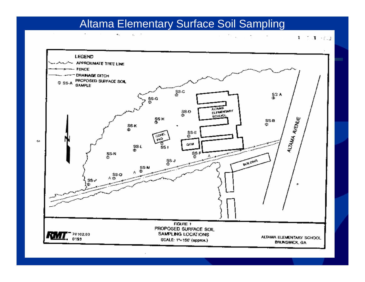# Altama Elementary Surface Soil Sampling

 $\sim$  $\mathbf{e}_\mathrm{a} = \mathbf{e}_\mathrm{a} = \mathbf{e}_\mathrm{a} \mathbf{e}_\mathrm{a}$ 

 $\mathcal{R}(\mathbf{u}) = \mathcal{R}^{\mathcal{A}}(\mathbf{g})$  . The  $\mathbf{1}=\mathbf{1}+\mathbf{1}+\mathbf{1}+\mathbf{1}+\mathbf{1}+\mathbf{1}+\mathbf{1}+\mathbf{1}+\mathbf{1}+\mathbf{1}+\mathbf{1}+\mathbf{1}+\mathbf{1}+\mathbf{1}+\mathbf{1}+\mathbf{1}+\mathbf{1}+\mathbf{1}+\mathbf{1}+\mathbf{1}+\mathbf{1}+\mathbf{1}+\mathbf{1}+\mathbf{1}+\mathbf{1}+\mathbf{1}+\mathbf{1}+\mathbf{1}+\mathbf{1}+\mathbf{1}+\mathbf{1}+\mathbf{1}+\mathbf{1}+\mathbf{1}+\mathbf{1}+\mathbf{$ 

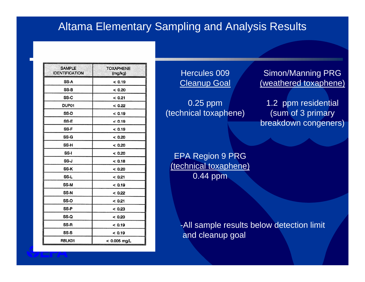### Altama Elementary Sampling and Analysis Results

| <b>SAMPLE</b><br><b>IDENTIFICATION</b> | <b>TOXAPHENE</b><br>(mg/kg) |
|----------------------------------------|-----------------------------|
| SS-A                                   | < 0.19                      |
| SS-B                                   | < 0.20                      |
| SS-C                                   | < 0.21                      |
| DUP01                                  | < 0.22                      |
| SS-D                                   | < 0.19                      |
| SS-E                                   | < 0.19                      |
| SS-F                                   | < 0.19                      |
| SS-G                                   | < 0.20                      |
| SS-H                                   | < 0.20                      |
| SS-I                                   | < 0.20                      |
| SS-J                                   | < 0.18                      |
| SS-K                                   | < 0.20                      |
| SS-L                                   | < 0.21                      |
| SS-M                                   | < 0.19                      |
| SS-N                                   | < 0.22                      |
| SS-O                                   | < 0.21                      |
| SS-P                                   | < 0.23                      |
| SS-Q                                   | < 0.20                      |
| SS-R                                   | < 0.19                      |
| SS-S                                   | < 0.19                      |
| RBLK01                                 | $< 0.005$ mg/L              |

Hercules 009**Cleanup Goal** 

0.25 ppm (technical toxaphene)

Simon/Manning PRG (weathered toxaphene)

1.2 ppm residential (sum of 3 primary breakdown congeners)

EPA Region 9 PRG (technical toxaphene) 0.44 ppm

> -All sample results below detection limit and cleanup goal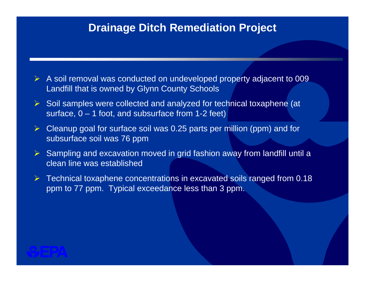### **Drainage Ditch Remediation Project**

- $\triangleright$  A soil removal was conducted on undeveloped property adjacent to 009 Landfill that is owned by Glynn County Schools
- $\triangleright$  Soil samples were collected and analyzed for technical toxaphene (at surface,  $0 - 1$  foot, and subsurface from 1-2 feet)
- $\triangleright$  Cleanup goal for surface soil was 0.25 parts per million (ppm) and for subsurface soil was 76 ppm
- $\triangleright$  Sampling and excavation moved in grid fashion away from landfill until a clean line was established
- $\triangleright$  Technical toxaphene concentrations in excavated soils ranged from 0.18 ppm to 77 ppm. Typical exceedance less than 3 ppm.

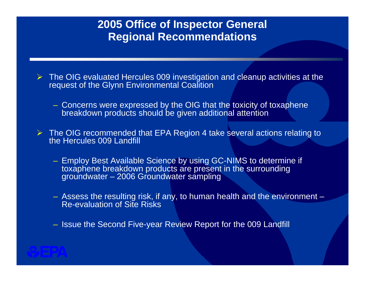# **2005 Office of Inspector General Regional Recommendations**

- $\triangleright$  The OIG evaluated Hercules 009 investigation and cleanup activities at the request of the Glynn Environmental Coalition
	- Concerns were expressed by the OIG that the toxicity of toxaphene breakdown products should be given additional attention
- $\triangleright$  The OIG recommended that EPA Region 4 take several actions relating to the Hercules 009 Landfill
	- Employ Best Available Science by using GC-NIMS to determine if toxaphene breakdown products are present in the surrounding groundwater – 2006 Groundwater sampling
	- Assess the resulting risk, if any, to human health and the environment Re-evaluation of Site Risks
	- Issue the Second Five-year Review Report for the 009 Landfill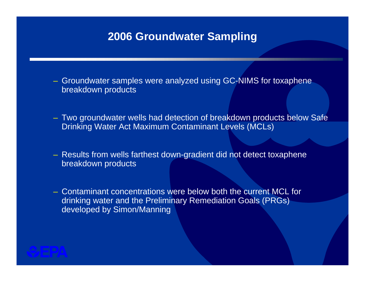### **2006 Groundwater Sampling**

- Groundwater samples were analyzed using GC-NIMS for toxaphene breakdown products
- Two groundwater wells had detection of breakdown products below Safe Drinking Water Act Maximum Contaminant Levels (MCLs)
- Results from wells farthest down-gradient did not detect toxaphene breakdown products
- Contaminant concentrations were below both the current MCL for drinking water and the Preliminary Remediation Goals (PRGs) developed by Simon/Manning

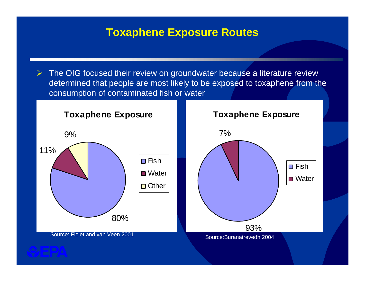### **Toxaphene Exposure Routes**

 $\triangleright$  The OIG focused their review on groundwater because a literature review determined that people are most likely to be exposed to toxaphene from the consumption of contaminated fish or water

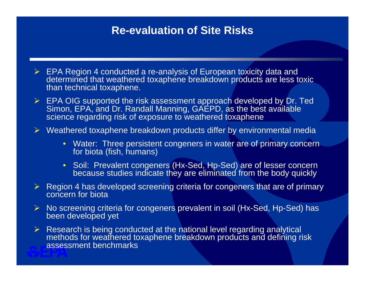### **Re-evaluation of Site Risks**

- $\triangleright$  EPA Region 4 conducted a re-analysis of European toxicity data and determined that weathered toxaphene breakdown products are less toxic than technical toxaphene.
- $\triangleright$  EPA OIG supported the risk assessment approach developed by Dr. Ted Simon, EPA, and Dr. Randall Manning, GAEPD, as the best available science regarding risk of exposure to weathered toxaphene

 $\triangleright$  Weathered toxaphene breakdown products differ by environmental media

- Water: Three persistent congeners in water are of primary concern for biota (fish, humans)
- Soil: Prevalent congeners (Hx-Sed, Hp-Sed) are of lesser concern because studies indicate they are eliminated from the body quickly
- $\triangleright$  Region 4 has developed screening criteria for congeners that are of primary concern for biota
- ¾ No screening criteria for congeners prevalent in soil (Hx-Sed, Hp-Sed) has been developed yet
- $\triangleright$  Research is being conducted at the national level regarding analytical methods for weathered toxaphene breakdown products and defining risk assessment benchmarks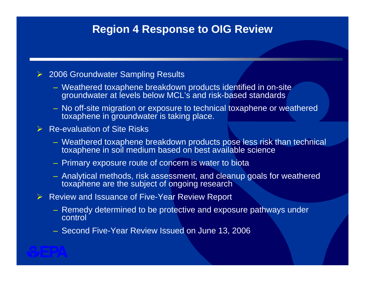## **Region 4 Response to OIG Review**

### **▶ 2006 Groundwater Sampling Results**

- Weathered toxaphene breakdown products identified in on-site groundwater at levels below MCL's and risk-based standards
- No off-site migration or exposure to technical toxaphene or weathered toxaphene in groundwater is taking place.

### $\triangleright$  Re-evaluation of Site Risks

- Weathered toxaphene breakdown products pose less risk than technical toxaphene in soil medium based on best available science
- Primary exposure route of concern is water to biota
- Analytical methods, risk assessment, and cleanup goals for weathered toxaphene are the subject of ongoing research
- ¾ Review and Issuance of Five-Year Review Report
	- Remedy determined to be protective and exposure pathways under control
	- Second Five-Year Review Issued on June 13, 2006